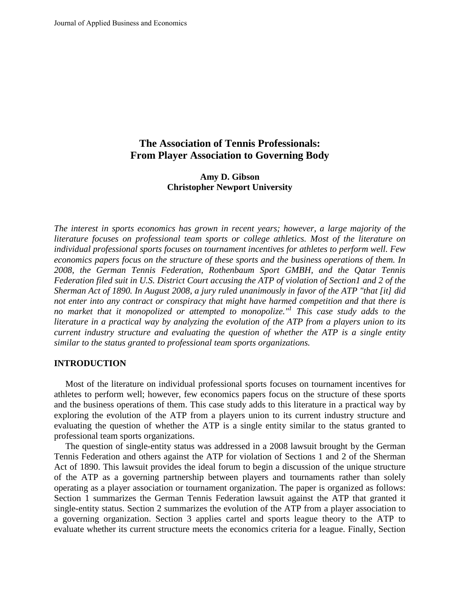# **The Association of Tennis Professionals: From Player Association to Governing Body**

## **Amy D. Gibson Christopher Newport University**

*The interest in sports economics has grown in recent years; however, a large majority of the literature focuses on professional team sports or college athletics. Most of the literature on individual professional sports focuses on tournament incentives for athletes to perform well. Few economics papers focus on the structure of these sports and the business operations of them. In 2008, the German Tennis Federation, Rothenbaum Sport GMBH, and the Qatar Tennis Federation filed suit in U.S. District Court accusing the ATP of violation of Section1 and 2 of the Sherman Act of 1890. In August 2008, a jury ruled unanimously in favor of the ATP "that [it] did not enter into any contract or conspiracy that might have harmed competition and that there is no market that it monopolized or attempted to monopolize."1 This case study adds to the literature in a practical way by analyzing the evolution of the ATP from a players union to its current industry structure and evaluating the question of whether the ATP is a single entity similar to the status granted to professional team sports organizations.* 

### **INTRODUCTION**

 Most of the literature on individual professional sports focuses on tournament incentives for athletes to perform well; however, few economics papers focus on the structure of these sports and the business operations of them. This case study adds to this literature in a practical way by exploring the evolution of the ATP from a players union to its current industry structure and evaluating the question of whether the ATP is a single entity similar to the status granted to professional team sports organizations.

 The question of single-entity status was addressed in a 2008 lawsuit brought by the German Tennis Federation and others against the ATP for violation of Sections 1 and 2 of the Sherman Act of 1890. This lawsuit provides the ideal forum to begin a discussion of the unique structure of the ATP as a governing partnership between players and tournaments rather than solely operating as a player association or tournament organization. The paper is organized as follows: Section 1 summarizes the German Tennis Federation lawsuit against the ATP that granted it single-entity status. Section 2 summarizes the evolution of the ATP from a player association to a governing organization. Section 3 applies cartel and sports league theory to the ATP to evaluate whether its current structure meets the economics criteria for a league. Finally, Section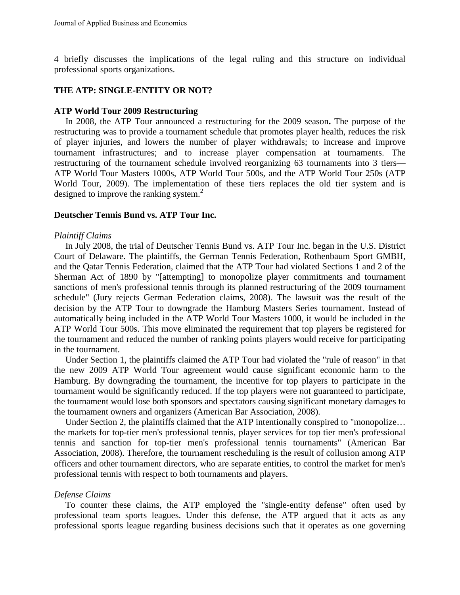4 briefly discusses the implications of the legal ruling and this structure on individual professional sports organizations.

## **THE ATP: SINGLE-ENTITY OR NOT?**

#### **ATP World Tour 2009 Restructuring**

 In 2008, the ATP Tour announced a restructuring for the 2009 season**.** The purpose of the restructuring was to provide a tournament schedule that promotes player health, reduces the risk of player injuries, and lowers the number of player withdrawals; to increase and improve tournament infrastructures; and to increase player compensation at tournaments. The restructuring of the tournament schedule involved reorganizing 63 tournaments into 3 tiers— ATP World Tour Masters 1000s, ATP World Tour 500s, and the ATP World Tour 250s (ATP World Tour, 2009). The implementation of these tiers replaces the old tier system and is designed to improve the ranking system.<sup>2</sup>

## **Deutscher Tennis Bund vs. ATP Tour Inc.**

#### *Plaintiff Claims*

 In July 2008, the trial of Deutscher Tennis Bund vs. ATP Tour Inc. began in the U.S. District Court of Delaware. The plaintiffs, the German Tennis Federation, Rothenbaum Sport GMBH, and the Qatar Tennis Federation, claimed that the ATP Tour had violated Sections 1 and 2 of the Sherman Act of 1890 by "[attempting] to monopolize player commitments and tournament sanctions of men's professional tennis through its planned restructuring of the 2009 tournament schedule" (Jury rejects German Federation claims, 2008). The lawsuit was the result of the decision by the ATP Tour to downgrade the Hamburg Masters Series tournament. Instead of automatically being included in the ATP World Tour Masters 1000, it would be included in the ATP World Tour 500s. This move eliminated the requirement that top players be registered for the tournament and reduced the number of ranking points players would receive for participating in the tournament.

 Under Section 1, the plaintiffs claimed the ATP Tour had violated the "rule of reason" in that the new 2009 ATP World Tour agreement would cause significant economic harm to the Hamburg. By downgrading the tournament, the incentive for top players to participate in the tournament would be significantly reduced. If the top players were not guaranteed to participate, the tournament would lose both sponsors and spectators causing significant monetary damages to the tournament owners and organizers (American Bar Association, 2008).

 Under Section 2, the plaintiffs claimed that the ATP intentionally conspired to "monopolize… the markets for top-tier men's professional tennis, player services for top tier men's professional tennis and sanction for top-tier men's professional tennis tournaments" (American Bar Association, 2008). Therefore, the tournament rescheduling is the result of collusion among ATP officers and other tournament directors, who are separate entities, to control the market for men's professional tennis with respect to both tournaments and players.

#### *Defense Claims*

To counter these claims, the ATP employed the "single-entity defense" often used by professional team sports leagues. Under this defense, the ATP argued that it acts as any professional sports league regarding business decisions such that it operates as one governing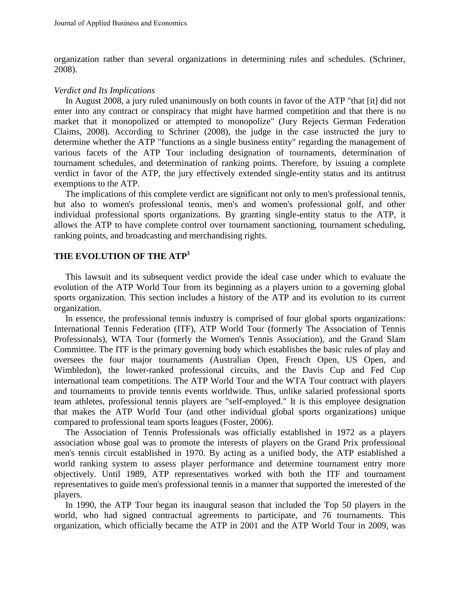organization rather than several organizations in determining rules and schedules. (Schriner, 2008).

## *Verdict and Its Implications*

 In August 2008, a jury ruled unanimously on both counts in favor of the ATP "that [it] did not enter into any contract or conspiracy that might have harmed competition and that there is no market that it monopolized or attempted to monopolize" (Jury Rejects German Federation Claims, 2008). According to Schriner (2008), the judge in the case instructed the jury to determine whether the ATP "functions as a single business entity" regarding the management of various facets of the ATP Tour including designation of tournaments, determination of tournament schedules, and determination of ranking points. Therefore, by issuing a complete verdict in favor of the ATP, the jury effectively extended single-entity status and its antitrust exemptions to the ATP.

 The implications of this complete verdict are significant not only to men's professional tennis, but also to women's professional tennis, men's and women's professional golf, and other individual professional sports organizations. By granting single-entity status to the ATP, it allows the ATP to have complete control over tournament sanctioning, tournament scheduling, ranking points, and broadcasting and merchandising rights.

# **THE EVOLUTION OF THE ATP3**

 This lawsuit and its subsequent verdict provide the ideal case under which to evaluate the evolution of the ATP World Tour from its beginning as a players union to a governing global sports organization. This section includes a history of the ATP and its evolution to its current organization.

 In essence, the professional tennis industry is comprised of four global sports organizations: International Tennis Federation (ITF), ATP World Tour (formerly The Association of Tennis Professionals), WTA Tour (formerly the Women's Tennis Association), and the Grand Slam Committee. The ITF is the primary governing body which establishes the basic rules of play and oversees the four major tournaments (Australian Open, French Open, US Open, and Wimbledon), the lower-ranked professional circuits, and the Davis Cup and Fed Cup international team competitions. The ATP World Tour and the WTA Tour contract with players and tournaments to provide tennis events worldwide. Thus, unlike salaried professional sports team athletes, professional tennis players are "self-employed." It is this employee designation that makes the ATP World Tour (and other individual global sports organizations) unique compared to professional team sports leagues (Foster, 2006).

 The Association of Tennis Professionals was officially established in 1972 as a players association whose goal was to promote the interests of players on the Grand Prix professional men's tennis circuit established in 1970. By acting as a unified body, the ATP established a world ranking system to assess player performance and determine tournament entry more objectively. Until 1989, ATP representatives worked with both the ITF and tournament representatives to guide men's professional tennis in a manner that supported the interested of the players.

 In 1990, the ATP Tour began its inaugural season that included the Top 50 players in the world, who had signed contractual agreements to participate, and 76 tournaments. This organization, which officially became the ATP in 2001 and the ATP World Tour in 2009, was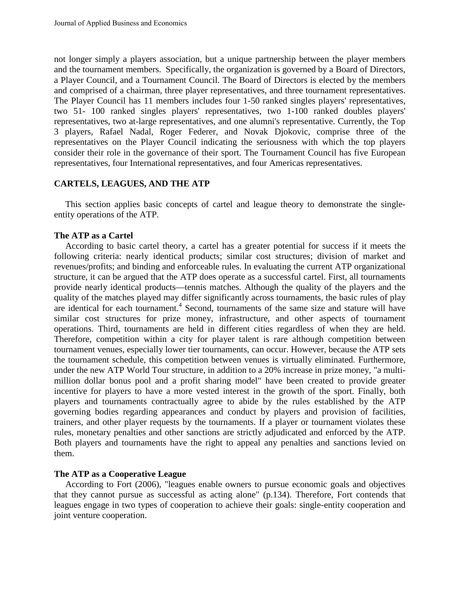not longer simply a players association, but a unique partnership between the player members and the tournament members. Specifically, the organization is governed by a Board of Directors, a Player Council, and a Tournament Council. The Board of Directors is elected by the members and comprised of a chairman, three player representatives, and three tournament representatives. The Player Council has 11 members includes four 1-50 ranked singles players' representatives, two 51- 100 ranked singles players' representatives, two 1-100 ranked doubles players' representatives, two at-large representatives, and one alumni's representative. Currently, the Top 3 players, Rafael Nadal, Roger Federer, and Novak Djokovic, comprise three of the representatives on the Player Council indicating the seriousness with which the top players consider their role in the governance of their sport. The Tournament Council has five European representatives, four International representatives, and four Americas representatives.

## **CARTELS, LEAGUES, AND THE ATP**

 This section applies basic concepts of cartel and league theory to demonstrate the singleentity operations of the ATP.

## **The ATP as a Cartel**

 According to basic cartel theory, a cartel has a greater potential for success if it meets the following criteria: nearly identical products; similar cost structures; division of market and revenues/profits; and binding and enforceable rules. In evaluating the current ATP organizational structure, it can be argued that the ATP does operate as a successful cartel. First, all tournaments provide nearly identical products—tennis matches. Although the quality of the players and the quality of the matches played may differ significantly across tournaments, the basic rules of play are identical for each tournament.<sup>4</sup> Second, tournaments of the same size and stature will have similar cost structures for prize money, infrastructure, and other aspects of tournament operations. Third, tournaments are held in different cities regardless of when they are held. Therefore, competition within a city for player talent is rare although competition between tournament venues, especially lower tier tournaments, can occur. However, because the ATP sets the tournament schedule, this competition between venues is virtually eliminated. Furthermore, under the new ATP World Tour structure, in addition to a 20% increase in prize money, "a multimillion dollar bonus pool and a profit sharing model" have been created to provide greater incentive for players to have a more vested interest in the growth of the sport. Finally, both players and tournaments contractually agree to abide by the rules established by the ATP governing bodies regarding appearances and conduct by players and provision of facilities, trainers, and other player requests by the tournaments. If a player or tournament violates these rules, monetary penalties and other sanctions are strictly adjudicated and enforced by the ATP. Both players and tournaments have the right to appeal any penalties and sanctions levied on them.

## **The ATP as a Cooperative League**

According to Fort (2006), "leagues enable owners to pursue economic goals and objectives that they cannot pursue as successful as acting alone" (p.134). Therefore, Fort contends that leagues engage in two types of cooperation to achieve their goals: single-entity cooperation and joint venture cooperation.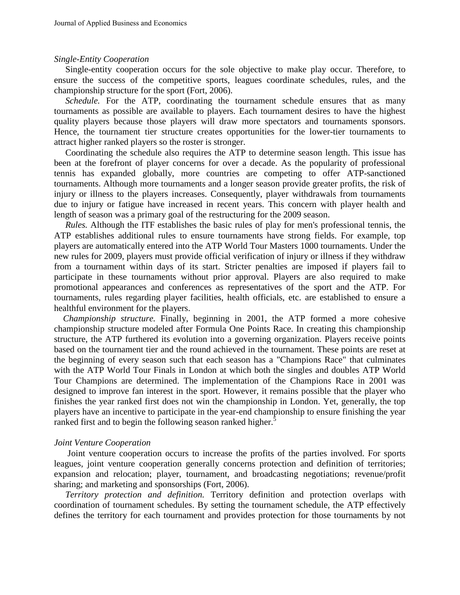#### *Single-Entity Cooperation*

Single-entity cooperation occurs for the sole objective to make play occur. Therefore, to ensure the success of the competitive sports, leagues coordinate schedules, rules, and the championship structure for the sport (Fort, 2006).

*Schedule.* For the ATP, coordinating the tournament schedule ensures that as many tournaments as possible are available to players. Each tournament desires to have the highest quality players because those players will draw more spectators and tournaments sponsors. Hence, the tournament tier structure creates opportunities for the lower-tier tournaments to attract higher ranked players so the roster is stronger.

 Coordinating the schedule also requires the ATP to determine season length. This issue has been at the forefront of player concerns for over a decade. As the popularity of professional tennis has expanded globally, more countries are competing to offer ATP-sanctioned tournaments. Although more tournaments and a longer season provide greater profits, the risk of injury or illness to the players increases. Consequently, player withdrawals from tournaments due to injury or fatigue have increased in recent years. This concern with player health and length of season was a primary goal of the restructuring for the 2009 season.

 *Rules.* Although the ITF establishes the basic rules of play for men's professional tennis, the ATP establishes additional rules to ensure tournaments have strong fields. For example, top players are automatically entered into the ATP World Tour Masters 1000 tournaments. Under the new rules for 2009, players must provide official verification of injury or illness if they withdraw from a tournament within days of its start. Stricter penalties are imposed if players fail to participate in these tournaments without prior approval. Players are also required to make promotional appearances and conferences as representatives of the sport and the ATP. For tournaments, rules regarding player facilities, health officials, etc. are established to ensure a healthful environment for the players.

 *Championship structure.* Finally, beginning in 2001, the ATP formed a more cohesive championship structure modeled after Formula One Points Race. In creating this championship structure, the ATP furthered its evolution into a governing organization. Players receive points based on the tournament tier and the round achieved in the tournament. These points are reset at the beginning of every season such that each season has a "Champions Race" that culminates with the ATP World Tour Finals in London at which both the singles and doubles ATP World Tour Champions are determined. The implementation of the Champions Race in 2001 was designed to improve fan interest in the sport. However, it remains possible that the player who finishes the year ranked first does not win the championship in London. Yet, generally, the top players have an incentive to participate in the year-end championship to ensure finishing the year ranked first and to begin the following season ranked higher.<sup>5</sup>

#### *Joint Venture Cooperation*

Joint venture cooperation occurs to increase the profits of the parties involved. For sports leagues, joint venture cooperation generally concerns protection and definition of territories; expansion and relocation; player, tournament, and broadcasting negotiations; revenue/profit sharing; and marketing and sponsorships (Fort, 2006).

 *Territory protection and definition.* Territory definition and protection overlaps with coordination of tournament schedules. By setting the tournament schedule, the ATP effectively defines the territory for each tournament and provides protection for those tournaments by not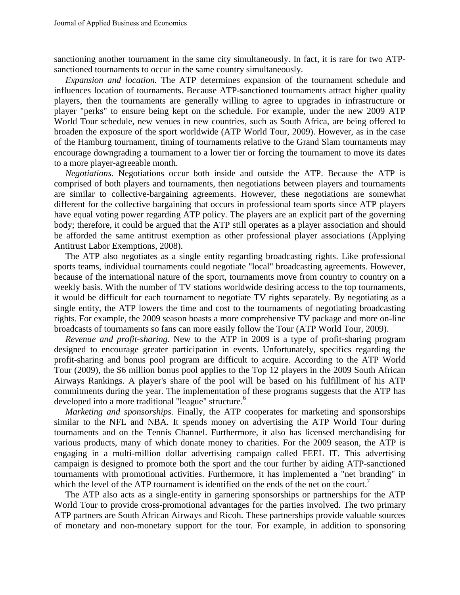sanctioning another tournament in the same city simultaneously. In fact, it is rare for two ATPsanctioned tournaments to occur in the same country simultaneously.

 *Expansion and location.* The ATP determines expansion of the tournament schedule and influences location of tournaments. Because ATP-sanctioned tournaments attract higher quality players, then the tournaments are generally willing to agree to upgrades in infrastructure or player "perks" to ensure being kept on the schedule. For example, under the new 2009 ATP World Tour schedule, new venues in new countries, such as South Africa, are being offered to broaden the exposure of the sport worldwide (ATP World Tour, 2009). However, as in the case of the Hamburg tournament, timing of tournaments relative to the Grand Slam tournaments may encourage downgrading a tournament to a lower tier or forcing the tournament to move its dates to a more player-agreeable month.

 *Negotiations.* Negotiations occur both inside and outside the ATP. Because the ATP is comprised of both players and tournaments, then negotiations between players and tournaments are similar to collective-bargaining agreements. However, these negotiations are somewhat different for the collective bargaining that occurs in professional team sports since ATP players have equal voting power regarding ATP policy. The players are an explicit part of the governing body; therefore, it could be argued that the ATP still operates as a player association and should be afforded the same antitrust exemption as other professional player associations (Applying Antitrust Labor Exemptions, 2008).

 The ATP also negotiates as a single entity regarding broadcasting rights. Like professional sports teams, individual tournaments could negotiate "local" broadcasting agreements. However, because of the international nature of the sport, tournaments move from country to country on a weekly basis. With the number of TV stations worldwide desiring access to the top tournaments, it would be difficult for each tournament to negotiate TV rights separately. By negotiating as a single entity, the ATP lowers the time and cost to the tournaments of negotiating broadcasting rights. For example, the 2009 season boasts a more comprehensive TV package and more on-line broadcasts of tournaments so fans can more easily follow the Tour (ATP World Tour, 2009).

 *Revenue and profit-sharing.* New to the ATP in 2009 is a type of profit-sharing program designed to encourage greater participation in events. Unfortunately, specifics regarding the profit-sharing and bonus pool program are difficult to acquire. According to the ATP World Tour (2009), the \$6 million bonus pool applies to the Top 12 players in the 2009 South African Airways Rankings. A player's share of the pool will be based on his fulfillment of his ATP commitments during the year. The implementation of these programs suggests that the ATP has developed into a more traditional "league" structure.<sup>6</sup>

 *Marketing and sponsorships.* Finally, the ATP cooperates for marketing and sponsorships similar to the NFL and NBA. It spends money on advertising the ATP World Tour during tournaments and on the Tennis Channel. Furthermore, it also has licensed merchandising for various products, many of which donate money to charities. For the 2009 season, the ATP is engaging in a multi-million dollar advertising campaign called FEEL IT. This advertising campaign is designed to promote both the sport and the tour further by aiding ATP-sanctioned tournaments with promotional activities. Furthermore, it has implemented a "net branding" in which the level of the ATP tournament is identified on the ends of the net on the court.<sup>7</sup>

 The ATP also acts as a single-entity in garnering sponsorships or partnerships for the ATP World Tour to provide cross-promotional advantages for the parties involved. The two primary ATP partners are South African Airways and Ricoh. These partnerships provide valuable sources of monetary and non-monetary support for the tour. For example, in addition to sponsoring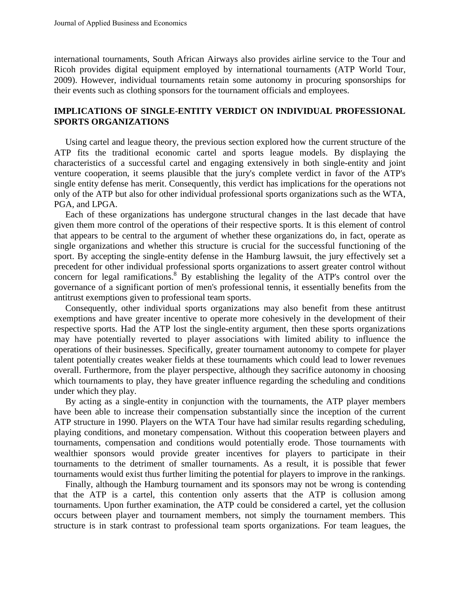international tournaments, South African Airways also provides airline service to the Tour and Ricoh provides digital equipment employed by international tournaments (ATP World Tour, 2009). However, individual tournaments retain some autonomy in procuring sponsorships for their events such as clothing sponsors for the tournament officials and employees.

# **IMPLICATIONS OF SINGLE-ENTITY VERDICT ON INDIVIDUAL PROFESSIONAL SPORTS ORGANIZATIONS**

 Using cartel and league theory, the previous section explored how the current structure of the ATP fits the traditional economic cartel and sports league models. By displaying the characteristics of a successful cartel and engaging extensively in both single-entity and joint venture cooperation, it seems plausible that the jury's complete verdict in favor of the ATP's single entity defense has merit. Consequently, this verdict has implications for the operations not only of the ATP but also for other individual professional sports organizations such as the WTA, PGA, and LPGA.

 Each of these organizations has undergone structural changes in the last decade that have given them more control of the operations of their respective sports. It is this element of control that appears to be central to the argument of whether these organizations do, in fact, operate as single organizations and whether this structure is crucial for the successful functioning of the sport. By accepting the single-entity defense in the Hamburg lawsuit, the jury effectively set a precedent for other individual professional sports organizations to assert greater control without concern for legal ramifications.<sup>8</sup> By establishing the legality of the ATP's control over the governance of a significant portion of men's professional tennis, it essentially benefits from the antitrust exemptions given to professional team sports.

 Consequently, other individual sports organizations may also benefit from these antitrust exemptions and have greater incentive to operate more cohesively in the development of their respective sports. Had the ATP lost the single-entity argument, then these sports organizations may have potentially reverted to player associations with limited ability to influence the operations of their businesses. Specifically, greater tournament autonomy to compete for player talent potentially creates weaker fields at these tournaments which could lead to lower revenues overall. Furthermore, from the player perspective, although they sacrifice autonomy in choosing which tournaments to play, they have greater influence regarding the scheduling and conditions under which they play.

 By acting as a single-entity in conjunction with the tournaments, the ATP player members have been able to increase their compensation substantially since the inception of the current ATP structure in 1990. Players on the WTA Tour have had similar results regarding scheduling, playing conditions, and monetary compensation. Without this cooperation between players and tournaments, compensation and conditions would potentially erode. Those tournaments with wealthier sponsors would provide greater incentives for players to participate in their tournaments to the detriment of smaller tournaments. As a result, it is possible that fewer tournaments would exist thus further limiting the potential for players to improve in the rankings.

 Finally, although the Hamburg tournament and its sponsors may not be wrong is contending that the ATP is a cartel, this contention only asserts that the ATP is collusion among tournaments. Upon further examination, the ATP could be considered a cartel, yet the collusion occurs between player and tournament members, not simply the tournament members. This structure is in stark contrast to professional team sports organizations. For team leagues, the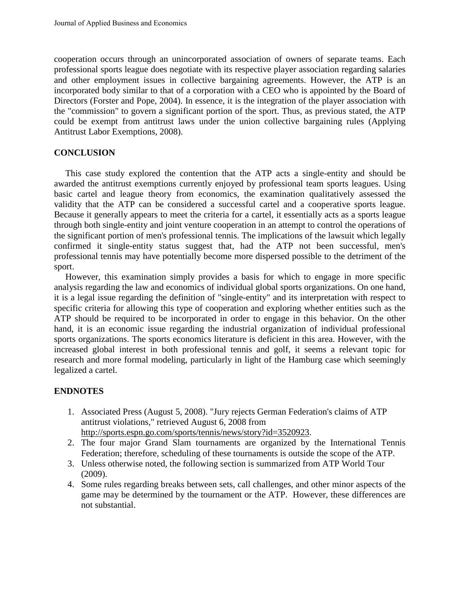cooperation occurs through an unincorporated association of owners of separate teams. Each professional sports league does negotiate with its respective player association regarding salaries and other employment issues in collective bargaining agreements. However, the ATP is an incorporated body similar to that of a corporation with a CEO who is appointed by the Board of Directors (Forster and Pope, 2004). In essence, it is the integration of the player association with the "commission" to govern a significant portion of the sport. Thus, as previous stated, the ATP could be exempt from antitrust laws under the union collective bargaining rules (Applying Antitrust Labor Exemptions, 2008).

# **CONCLUSION**

 This case study explored the contention that the ATP acts a single-entity and should be awarded the antitrust exemptions currently enjoyed by professional team sports leagues. Using basic cartel and league theory from economics, the examination qualitatively assessed the validity that the ATP can be considered a successful cartel and a cooperative sports league. Because it generally appears to meet the criteria for a cartel, it essentially acts as a sports league through both single-entity and joint venture cooperation in an attempt to control the operations of the significant portion of men's professional tennis. The implications of the lawsuit which legally confirmed it single-entity status suggest that, had the ATP not been successful, men's professional tennis may have potentially become more dispersed possible to the detriment of the sport.

 However, this examination simply provides a basis for which to engage in more specific analysis regarding the law and economics of individual global sports organizations. On one hand, it is a legal issue regarding the definition of "single-entity" and its interpretation with respect to specific criteria for allowing this type of cooperation and exploring whether entities such as the ATP should be required to be incorporated in order to engage in this behavior. On the other hand, it is an economic issue regarding the industrial organization of individual professional sports organizations. The sports economics literature is deficient in this area. However, with the increased global interest in both professional tennis and golf, it seems a relevant topic for research and more formal modeling, particularly in light of the Hamburg case which seemingly legalized a cartel.

# **ENDNOTES**

- 1. Associated Press (August 5, 2008). "Jury rejects German Federation's claims of ATP antitrust violations," retrieved August 6, 2008 from [http://sports.espn.go.com/sports/tennis/news/story?id=3520923.](http://sports.espn.go.com/sports/tennis/news/story?id=3520923)
- 2. The four major Grand Slam tournaments are organized by the International Tennis Federation; therefore, scheduling of these tournaments is outside the scope of the ATP.
- 3. Unless otherwise noted, the following section is summarized from ATP World Tour (2009).
- 4. Some rules regarding breaks between sets, call challenges, and other minor aspects of the game may be determined by the tournament or the ATP. However, these differences are not substantial.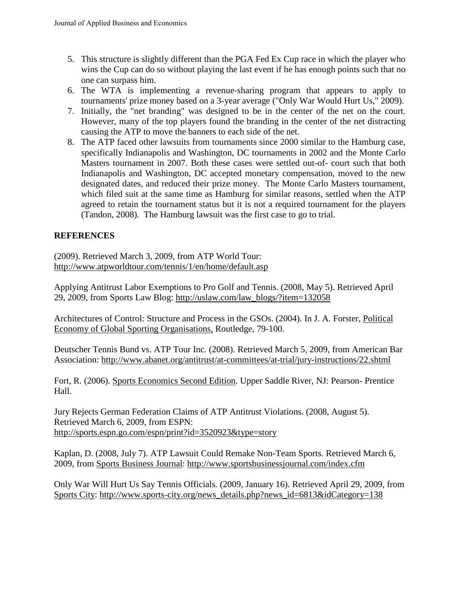- 5. This structure is slightly different than the PGA Fed Ex Cup race in which the player who wins the Cup can do so without playing the last event if he has enough points such that no one can surpass him.
- 6. The WTA is implementing a revenue-sharing program that appears to apply to tournaments' prize money based on a 3-year average ("Only War Would Hurt Us," 2009).
- 7. Initially, the "net branding" was designed to be in the center of the net on the court. However, many of the top players found the branding in the center of the net distracting causing the ATP to move the banners to each side of the net.
- 8. The ATP faced other lawsuits from tournaments since 2000 similar to the Hamburg case, specifically Indianapolis and Washington, DC tournaments in 2002 and the Monte Carlo Masters tournament in 2007. Both these cases were settled out-of- court such that both Indianapolis and Washington, DC accepted monetary compensation, moved to the new designated dates, and reduced their prize money. The Monte Carlo Masters tournament, which filed suit at the same time as Hamburg for similar reasons, settled when the ATP agreed to retain the tournament status but it is not a required tournament for the players (Tandon, 2008). The Hamburg lawsuit was the first case to go to trial.

# **REFERENCES**

(2009). Retrieved March 3, 2009, from ATP World Tour: <http://www.atpworldtour.com/tennis/1/en/home/default.asp>

Applying Antitrust Labor Exemptions to Pro Golf and Tennis. (2008, May 5). Retrieved April 29, 2009, from Sports Law Blog: [http://uslaw.com/law\\_blogs/?item=132058](http://uslaw.com/law_blogs/?item=132058)

Architectures of Control: Structure and Process in the GSOs. (2004). In J. A. Forster, Political Economy of Global Sporting Organisations, Routledge, 79-100.

Deutscher Tennis Bund vs. ATP Tour Inc*.* (2008). Retrieved March 5, 2009, from American Bar Association:<http://www.abanet.org/antitrust/at-committees/at-trial/jury-instructions/22.shtml>

Fort, R. (2006). Sports Economics Second Edition*.* Upper Saddle River, NJ: Pearson- Prentice Hall.

Jury Rejects German Federation Claims of ATP Antitrust Violations*.* (2008, August 5). Retrieved March 6, 2009, from ESPN: <http://sports.espn.go.com/espn/print?id=3520923&type=story>

Kaplan, D. (2008, July 7). ATP Lawsuit Could Remake Non-Team Sports*.* Retrieved March 6, 2009, from Sports Business Journal:<http://www.sportsbusinessjournal.com/index.cfm>

Only War Will Hurt Us Say Tennis Officials*.* (2009, January 16). Retrieved April 29, 2009, from Sports City: [http://www.sports-city.org/news\\_details.php?news\\_id=6813&idCategory=138](http://www.sports-city.org/news_details.php?news_id=6813&idCategory=138)